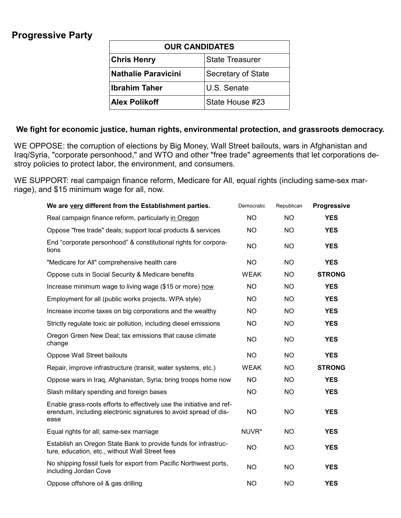## **Progressive Party**

| <b>OUR CANDIDATES</b>      |                        |  |
|----------------------------|------------------------|--|
| <b>Chris Henry</b>         | <b>State Treasurer</b> |  |
| <b>Nathalie Paravicini</b> | Secretary of State     |  |
| <b>Ibrahim Taher</b>       | U.S. Senate            |  |
| <b>Alex Polikoff</b>       | State House #23        |  |

#### **We fight for economic justice, human rights, environmental protection, and grassroots democracy.**

WE OPPOSE: the corruption of elections by Big Money, Wall Street bailouts, wars in Afghanistan and Iraq/Syria, "corporate personhood," and WTO and other "free trade" agreements that let corporations destroy policies to protect labor, the environment, and consumers.

WE SUPPORT: real campaign finance reform, Medicare for All, equal rights (including same-sex marriage), and \$15 minimum wage for all, now.

| We are very different from the Establishment parties.                                                                                             | Democratic  | Republican | Progressive   |
|---------------------------------------------------------------------------------------------------------------------------------------------------|-------------|------------|---------------|
| Real campaign finance reform, particularly in Oregon                                                                                              | <b>NO</b>   | <b>NO</b>  | <b>YES</b>    |
| Oppose "free trade" deals; support local products & services                                                                                      | NO.         | <b>NO</b>  | <b>YES</b>    |
| End "corporate personhood" & constitutional rights for corpora-<br>tions                                                                          | <b>NO</b>   | <b>NO</b>  | <b>YES</b>    |
| "Medicare for All" comprehensive health care                                                                                                      | <b>NO</b>   | <b>NO</b>  | <b>YES</b>    |
| Oppose cuts in Social Security & Medicare benefits                                                                                                | <b>WEAK</b> | <b>NO</b>  | <b>STRONG</b> |
| Increase minimum wage to living wage (\$15 or more) now                                                                                           | <b>NO</b>   | <b>NO</b>  | <b>YES</b>    |
| Employment for all (public works projects, WPA style)                                                                                             | NO.         | <b>NO</b>  | <b>YES</b>    |
| Increase income taxes on big corporations and the wealthy                                                                                         | <b>NO</b>   | <b>NO</b>  | <b>YES</b>    |
| Strictly regulate toxic air pollution, including diesel emissions                                                                                 | NO.         | <b>NO</b>  | <b>YES</b>    |
| Oregon Green New Deal; tax emissions that cause climate<br>change                                                                                 | <b>NO</b>   | <b>NO</b>  | <b>YES</b>    |
| <b>Oppose Wall Street bailouts</b>                                                                                                                | <b>NO</b>   | <b>NO</b>  | <b>YES</b>    |
| Repair, improve infrastructure (transit, water systems, etc.)                                                                                     | <b>WEAK</b> | <b>NO</b>  | <b>STRONG</b> |
| Oppose wars in Iraq, Afghanistan, Syria; bring troops home now                                                                                    | <b>NO</b>   | <b>NO</b>  | <b>YES</b>    |
| Slash military spending and foreign bases                                                                                                         | NO.         | <b>NO</b>  | <b>YES</b>    |
| Enable grass-roots efforts to effectively use the initiative and ref-<br>erendum, including electronic signatures to avoid spread of dis-<br>ease | <b>NO</b>   | <b>NO</b>  | <b>YES</b>    |
| Equal rights for all; same-sex marriage                                                                                                           | NUVR*       | <b>NO</b>  | <b>YES</b>    |
| Establish an Oregon State Bank to provide funds for infrastruc-<br>ture, education, etc., without Wall Street fees                                | <b>NO</b>   | <b>NO</b>  | <b>YES</b>    |
| No shipping fossil fuels for export from Pacific Northwest ports,<br>including Jordan Cove                                                        | <b>NO</b>   | <b>NO</b>  | <b>YES</b>    |
| Oppose offshore oil & gas drilling                                                                                                                | <b>NO</b>   | <b>NO</b>  | <b>YES</b>    |